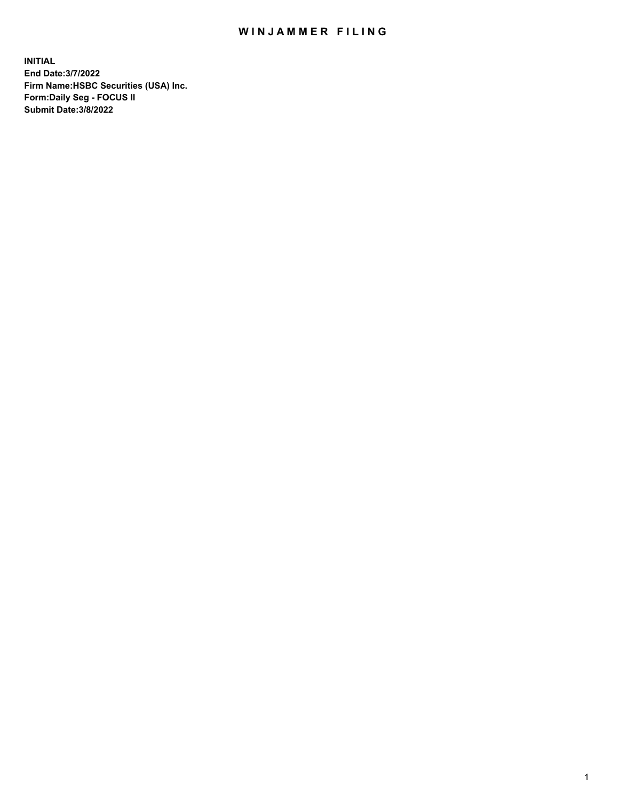## WIN JAMMER FILING

**INITIAL End Date:3/7/2022 Firm Name:HSBC Securities (USA) Inc. Form:Daily Seg - FOCUS II Submit Date:3/8/2022**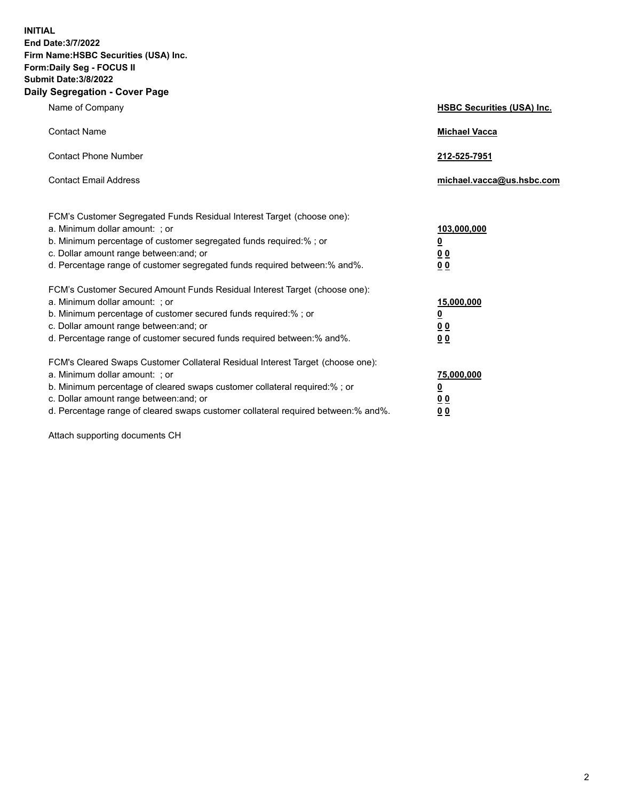**INITIAL End Date:3/7/2022 Firm Name:HSBC Securities (USA) Inc. Form:Daily Seg - FOCUS II Submit Date:3/8/2022 Daily Segregation - Cover Page**

| Name of Company                                                                                                                                                                                                                                                                                                                | <b>HSBC Securities (USA) Inc.</b>               |
|--------------------------------------------------------------------------------------------------------------------------------------------------------------------------------------------------------------------------------------------------------------------------------------------------------------------------------|-------------------------------------------------|
| <b>Contact Name</b>                                                                                                                                                                                                                                                                                                            | <b>Michael Vacca</b>                            |
| <b>Contact Phone Number</b>                                                                                                                                                                                                                                                                                                    | 212-525-7951                                    |
| <b>Contact Email Address</b>                                                                                                                                                                                                                                                                                                   | michael.vacca@us.hsbc.com                       |
| FCM's Customer Segregated Funds Residual Interest Target (choose one):<br>a. Minimum dollar amount: ; or<br>b. Minimum percentage of customer segregated funds required:%; or<br>c. Dollar amount range between: and; or<br>d. Percentage range of customer segregated funds required between:% and%.                          | 103,000,000<br><u>0</u><br>0 <sub>0</sub><br>00 |
| FCM's Customer Secured Amount Funds Residual Interest Target (choose one):<br>a. Minimum dollar amount: ; or<br>b. Minimum percentage of customer secured funds required:%; or<br>c. Dollar amount range between: and; or<br>d. Percentage range of customer secured funds required between:% and%.                            | 15,000,000<br><u>0</u><br>0 <sub>0</sub><br>00  |
| FCM's Cleared Swaps Customer Collateral Residual Interest Target (choose one):<br>a. Minimum dollar amount: ; or<br>b. Minimum percentage of cleared swaps customer collateral required:% ; or<br>c. Dollar amount range between: and; or<br>d. Percentage range of cleared swaps customer collateral required between:% and%. | 75,000,000<br><u>0</u><br><u>00</u><br>00       |

Attach supporting documents CH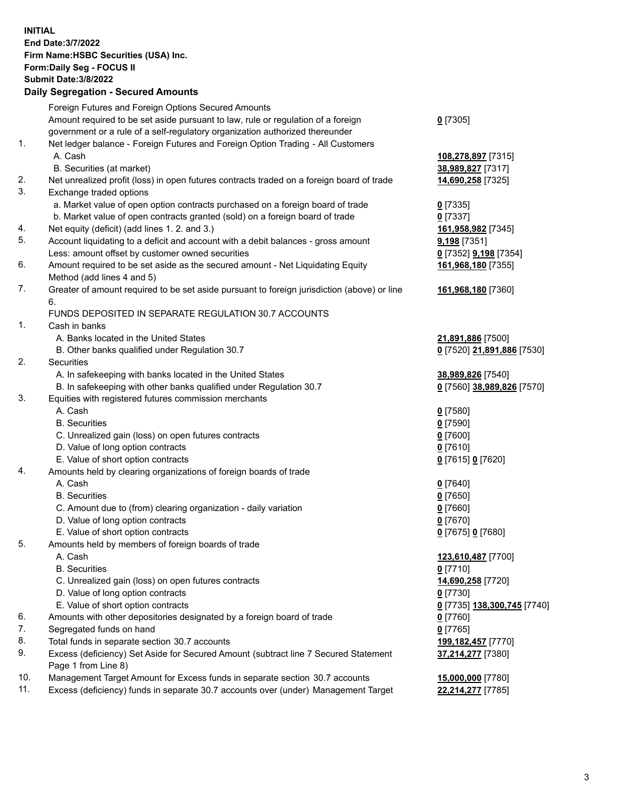**INITIAL End Date:3/7/2022 Firm Name:HSBC Securities (USA) Inc. Form:Daily Seg - FOCUS II Submit Date:3/8/2022 Daily Segregation - Secured Amounts** Foreign Futures and Foreign Options Secured Amounts Amount required to be set aside pursuant to law, rule or regulation of a foreign government or a rule of a self-regulatory organization authorized thereunder **0** [7305] 1. Net ledger balance - Foreign Futures and Foreign Option Trading - All Customers A. Cash **108,278,897** [7315] B. Securities (at market) **38,989,827** [7317] 2. Net unrealized profit (loss) in open futures contracts traded on a foreign board of trade **14,690,258** [7325] 3. Exchange traded options a. Market value of open option contracts purchased on a foreign board of trade **0** [7335] b. Market value of open contracts granted (sold) on a foreign board of trade **0** [7337] 4. Net equity (deficit) (add lines 1. 2. and 3.) **161,958,982** [7345] 5. Account liquidating to a deficit and account with a debit balances - gross amount **9,198** [7351] Less: amount offset by customer owned securities **0** [7352] **9,198** [7354] 6. Amount required to be set aside as the secured amount - Net Liquidating Equity Method (add lines 4 and 5) **161,968,180** [7355] 7. Greater of amount required to be set aside pursuant to foreign jurisdiction (above) or line 6. **161,968,180** [7360] FUNDS DEPOSITED IN SEPARATE REGULATION 30.7 ACCOUNTS 1. Cash in banks A. Banks located in the United States **21,891,886** [7500] B. Other banks qualified under Regulation 30.7 **0** [7520] **21,891,886** [7530] 2. Securities A. In safekeeping with banks located in the United States **38,989,826** [7540] B. In safekeeping with other banks qualified under Regulation 30.7 **0** [7560] **38,989,826** [7570] 3. Equities with registered futures commission merchants A. Cash **0** [7580] B. Securities **0** [7590] C. Unrealized gain (loss) on open futures contracts **0** [7600] D. Value of long option contracts **0** [7610] E. Value of short option contracts **0** [7615] **0** [7620] 4. Amounts held by clearing organizations of foreign boards of trade A. Cash **0** [7640] B. Securities **0** [7650] C. Amount due to (from) clearing organization - daily variation **0** [7660] D. Value of long option contracts **0** [7670] E. Value of short option contracts **0** [7675] **0** [7680] 5. Amounts held by members of foreign boards of trade A. Cash **123,610,487** [7700] B. Securities **0** [7710] C. Unrealized gain (loss) on open futures contracts **14,690,258** [7720] D. Value of long option contracts **0** [7730] E. Value of short option contracts **0** [7735] **138,300,745** [7740] 6. Amounts with other depositories designated by a foreign board of trade **0** [7760] 7. Segregated funds on hand **0** [7765] 8. Total funds in separate section 30.7 accounts **199,182,457** [7770] 9. Excess (deficiency) Set Aside for Secured Amount (subtract line 7 Secured Statement Page 1 from Line 8) **37,214,277** [7380] 10. Management Target Amount for Excess funds in separate section 30.7 accounts **15,000,000** [7780] 11. Excess (deficiency) funds in separate 30.7 accounts over (under) Management Target **22,214,277** [7785]

3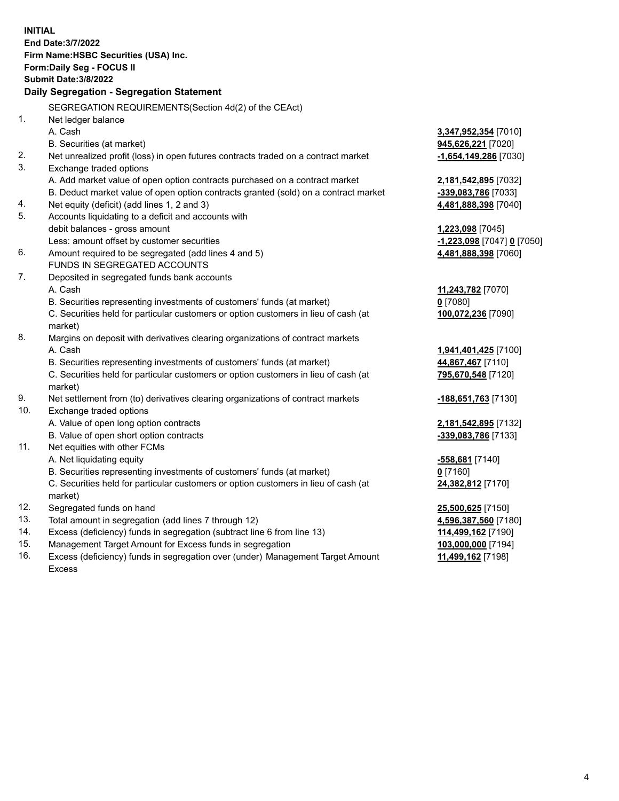|            | <b>INITIAL</b>                                                                                                                  |                                          |
|------------|---------------------------------------------------------------------------------------------------------------------------------|------------------------------------------|
|            | <b>End Date: 3/7/2022</b>                                                                                                       |                                          |
|            | Firm Name: HSBC Securities (USA) Inc.                                                                                           |                                          |
|            | Form: Daily Seg - FOCUS II                                                                                                      |                                          |
|            | <b>Submit Date: 3/8/2022</b>                                                                                                    |                                          |
|            | Daily Segregation - Segregation Statement                                                                                       |                                          |
|            | SEGREGATION REQUIREMENTS(Section 4d(2) of the CEAct)                                                                            |                                          |
| 1.         | Net ledger balance                                                                                                              |                                          |
|            | A. Cash                                                                                                                         | 3,347,952,354 [7010]                     |
|            | B. Securities (at market)                                                                                                       | 945,626,221 [7020]                       |
| 2.         | Net unrealized profit (loss) in open futures contracts traded on a contract market                                              | $-1,654,149,286$ [7030]                  |
| 3.         | Exchange traded options                                                                                                         |                                          |
|            | A. Add market value of open option contracts purchased on a contract market                                                     | 2,181,542,895 [7032]                     |
|            | B. Deduct market value of open option contracts granted (sold) on a contract market                                             | -339,083,786 [7033]                      |
| 4.         | Net equity (deficit) (add lines 1, 2 and 3)                                                                                     | 4,481,888,398 [7040]                     |
| 5.         | Accounts liquidating to a deficit and accounts with                                                                             |                                          |
|            | debit balances - gross amount                                                                                                   | 1,223,098 [7045]                         |
|            | Less: amount offset by customer securities                                                                                      | <u>-1,223,098</u> [7047] <u>0</u> [7050] |
| 6.         | Amount required to be segregated (add lines 4 and 5)                                                                            | 4,481,888,398 [7060]                     |
|            | FUNDS IN SEGREGATED ACCOUNTS                                                                                                    |                                          |
| 7.         | Deposited in segregated funds bank accounts                                                                                     |                                          |
|            | A. Cash                                                                                                                         | 11,243,782 [7070]                        |
|            | B. Securities representing investments of customers' funds (at market)                                                          | $0$ [7080]                               |
|            | C. Securities held for particular customers or option customers in lieu of cash (at                                             | 100,072,236 [7090]                       |
|            | market)                                                                                                                         |                                          |
| 8.         | Margins on deposit with derivatives clearing organizations of contract markets                                                  |                                          |
|            | A. Cash                                                                                                                         | 1,941,401,425 [7100]                     |
|            | B. Securities representing investments of customers' funds (at market)                                                          | 44,867,467 [7110]                        |
|            | C. Securities held for particular customers or option customers in lieu of cash (at                                             | 795,670,548 [7120]                       |
|            | market)                                                                                                                         |                                          |
| 9.         | Net settlement from (to) derivatives clearing organizations of contract markets                                                 | -188,651,763 [7130]                      |
| 10.        | Exchange traded options                                                                                                         |                                          |
|            | A. Value of open long option contracts                                                                                          | 2,181,542,895 [7132]                     |
|            | B. Value of open short option contracts                                                                                         | -339,083,786 [7133]                      |
| 11.        | Net equities with other FCMs                                                                                                    |                                          |
|            | A. Net liquidating equity                                                                                                       | <u>-558,681</u> [7140]                   |
|            | B. Securities representing investments of customers' funds (at market)                                                          | 0[7160]                                  |
|            | C. Securities held for particular customers or option customers in lieu of cash (at                                             | 24,382,812 [7170]                        |
|            | market)                                                                                                                         |                                          |
| 12.<br>13. | Segregated funds on hand                                                                                                        | 25,500,625 [7150]                        |
| 14.        | Total amount in segregation (add lines 7 through 12)<br>Excess (deficiency) funds in segregation (subtract line 6 from line 13) | 4,596,387,560 [7180]                     |
| 15.        | Management Target Amount for Excess funds in segregation                                                                        | 114,499,162 [7190]                       |
| 16.        | Excess (deficiency) funds in segregation over (under) Management Target Amount                                                  | 103,000,000 [7194]<br>11,499,162 [7198]  |
|            |                                                                                                                                 |                                          |

16. Excess (deficiency) funds in segregation over (under) Management Target Amount Excess